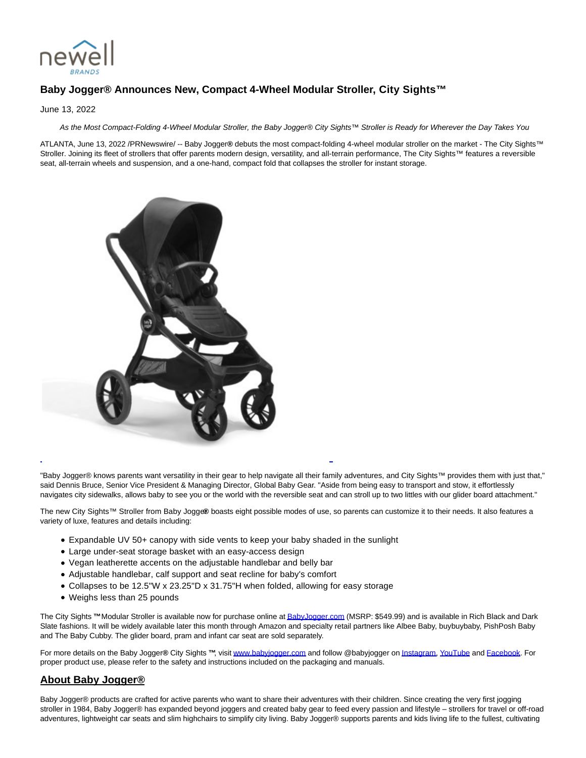

## **Baby Jogger® Announces New, Compact 4-Wheel Modular Stroller, City Sights™**

June 13, 2022

As the Most Compact-Folding 4-Wheel Modular Stroller, the Baby Jogger® City Sights™ Stroller is Ready for Wherever the Day Takes You

ATLANTA, June 13, 2022 /PRNewswire/ -- Baby Jogger**®** debuts the most compact-folding 4-wheel modular stroller on the market - The City Sights™ Stroller. Joining its fleet of strollers that offer parents modern design, versatility, and all-terrain performance, The City Sights™ features a reversible seat, all-terrain wheels and suspension, and a one-hand, compact fold that collapses the stroller for instant storage.



"Baby Jogger® knows parents want versatility in their gear to help navigate all their family adventures, and City Sights™ provides them with just that," said Dennis Bruce, Senior Vice President & Managing Director, Global Baby Gear. "Aside from being easy to transport and stow, it effortlessly navigates city sidewalks, allows baby to see you or the world with the reversible seat and can stroll up to two littles with our glider board attachment."

L

The new City Sights™ Stroller from Baby Jogge® boasts eight possible modes of use, so parents can customize it to their needs. It also features a variety of luxe, features and details including:

- Expandable UV 50+ canopy with side vents to keep your baby shaded in the sunlight
- Large under-seat storage basket with an easy-access design
- Vegan leatherette accents on the adjustable handlebar and belly bar
- Adjustable handlebar, calf support and seat recline for baby's comfort
- Collapses to be 12.5"W x 23.25"D x 31.75"H when folded, allowing for easy storage
- Weighs less than 25 pounds

The City Sights **™** Modular Stroller is available now for purchase online a[t BabyJogger.com \(](http://babyjogger.com/)MSRP: \$549.99) and is available in Rich Black and Dark Slate fashions. It will be widely available later this month through Amazon and specialty retail partners like Albee Baby, buybuybaby, PishPosh Baby and The Baby Cubby. The glider board, pram and infant car seat are sold separately.

For more details on the Baby Jogger**®** City Sights **™**, visi[t www.babyjogger.com a](https://c212.net/c/link/?t=0&l=en&o=3564220-1&h=3644038410&u=https%3A%2F%2Fwww.babyjogger.com%2F&a=www.babyjogger.com)nd follow @babyjogger o[n Instagram,](https://c212.net/c/link/?t=0&l=en&o=3564220-1&h=1223893922&u=https%3A%2F%2Fwww.instagram.com%2Fbabyjogger%2F&a=Instagram) [YouTube a](https://c212.net/c/link/?t=0&l=en&o=3564220-1&h=2344627676&u=https%3A%2F%2Fwww.youtube.com%2Fc%2Fbabyjogger&a=YouTube)nd [Facebook.](https://c212.net/c/link/?t=0&l=en&o=3564220-1&h=2712151059&u=https%3A%2F%2Fwww.facebook.com%2FBabyJogger%2F&a=Facebook) For proper product use, please refer to the safety and instructions included on the packaging and manuals.

## **About Baby Jogger®**

Baby Jogger® products are crafted for active parents who want to share their adventures with their children. Since creating the very first jogging stroller in 1984, Baby Jogger® has expanded beyond joggers and created baby gear to feed every passion and lifestyle – strollers for travel or off-road adventures, lightweight car seats and slim highchairs to simplify city living. Baby Jogger® supports parents and kids living life to the fullest, cultivating